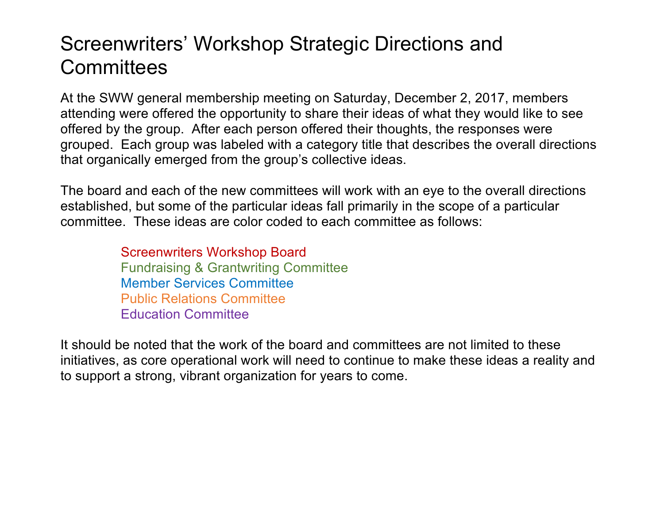## Screenwriters' Workshop Strategic Directions and **Committees**

At the SWW general membership meeting on Saturday, December 2, 2017, members attending were offered the opportunity to share their ideas of what they would like to see offered by the group. After each person offered their thoughts, the responses were grouped. Each group was labeled with a category title that describes the overall directions that organically emerged from the group's collective ideas.

The board and each of the new committees will work with an eye to the overall directions established, but some of the particular ideas fall primarily in the scope of a particular committee. These ideas are color coded to each committee as follows:

> Screenwriters Workshop Board Fundraising & Grantwriting Committee Member Services Committee Public Relations Committee Education Committee

It should be noted that the work of the board and committees are not limited to these initiatives, as core operational work will need to continue to make these ideas a reality and to support a strong, vibrant organization for years to come.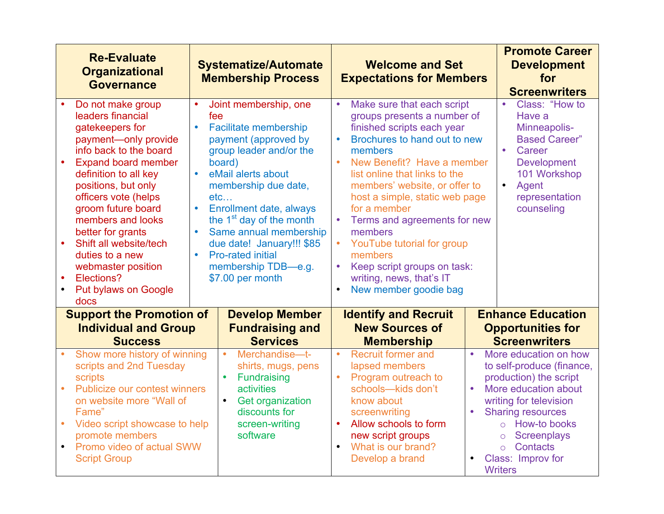|                                                          | <b>Re-Evaluate</b><br><b>Organizational</b><br><b>Governance</b>                                                                                                                                                                                                                                                                                                                                          | <b>Welcome and Set</b><br><b>Systematize/Automate</b><br><b>Membership Process</b><br><b>Expectations for Members</b>                                                                                                                                                                                                                                                                                                                                                                                                                                                                                                                                                                                                                                                                                                                                                        | <b>Promote Career</b><br><b>Development</b><br>for<br><b>Screenwriters</b>                                                                                                                                                                                                                                                             |
|----------------------------------------------------------|-----------------------------------------------------------------------------------------------------------------------------------------------------------------------------------------------------------------------------------------------------------------------------------------------------------------------------------------------------------------------------------------------------------|------------------------------------------------------------------------------------------------------------------------------------------------------------------------------------------------------------------------------------------------------------------------------------------------------------------------------------------------------------------------------------------------------------------------------------------------------------------------------------------------------------------------------------------------------------------------------------------------------------------------------------------------------------------------------------------------------------------------------------------------------------------------------------------------------------------------------------------------------------------------------|----------------------------------------------------------------------------------------------------------------------------------------------------------------------------------------------------------------------------------------------------------------------------------------------------------------------------------------|
| $\bullet$                                                | Do not make group<br>leaders financial<br>gatekeepers for<br>payment-only provide<br>info back to the board<br><b>Expand board member</b><br>definition to all key<br>positions, but only<br>officers vote (helps<br>groom future board<br>members and looks<br>better for grants<br>Shift all website/tech<br>duties to a new<br>webmaster position<br>Elections?<br><b>Put bylaws on Google</b><br>docs | Joint membership, one<br>Make sure that each script<br>$\bullet$<br>$\bullet$<br>fee<br>groups presents a number of<br><b>Facilitate membership</b><br>finished scripts each year<br>Brochures to hand out to new<br>payment (approved by<br>group leader and/or the<br>members<br>$\bullet$<br>board)<br>eMail alerts about<br>list online that links to the<br>$\bullet$<br>membership due date,<br>members' website, or offer to<br>etc<br>host a simple, static web page<br>Enrollment date, always<br>for a member<br>the 1 <sup>st</sup> day of the month<br>$\bullet$<br>Same annual membership<br>members<br>due date! January!!! \$85<br>YouTube tutorial for group<br><b>Pro-rated initial</b><br>$\bullet$<br>members<br>Keep script groups on task:<br>membership TDB-e.g.<br>\$7.00 per month<br>writing, news, that's IT<br>New member goodie bag<br>$\bullet$ | Class: "How to<br>$\bullet$<br>Have a<br>Minneapolis-<br><b>Based Career"</b><br>$\bullet$<br>Career<br>New Benefit? Have a member<br><b>Development</b><br>101 Workshop<br>$\bullet$<br>Agent<br>representation<br>counseling<br>Terms and agreements for new                                                                         |
| <b>Support the Promotion of</b><br><b>Develop Member</b> |                                                                                                                                                                                                                                                                                                                                                                                                           | <b>Identify and Recruit</b><br><b>New Sources of</b>                                                                                                                                                                                                                                                                                                                                                                                                                                                                                                                                                                                                                                                                                                                                                                                                                         | <b>Enhance Education</b>                                                                                                                                                                                                                                                                                                               |
|                                                          | <b>Individual and Group</b><br><b>Success</b>                                                                                                                                                                                                                                                                                                                                                             | <b>Fundraising and</b><br><b>Services</b><br><b>Membership</b>                                                                                                                                                                                                                                                                                                                                                                                                                                                                                                                                                                                                                                                                                                                                                                                                               | <b>Opportunities for</b><br><b>Screenwriters</b>                                                                                                                                                                                                                                                                                       |
| $\bullet$<br>$\bullet$                                   | Show more history of winning<br>scripts and 2nd Tuesday<br>scripts<br>Publicize our contest winners<br>on website more "Wall of<br>Fame"<br>Video script showcase to help<br>promote members<br>Promo video of actual SWW<br><b>Script Group</b>                                                                                                                                                          | Merchandise-t-<br><b>Recruit former and</b><br>$\bullet$<br>$\bullet$<br>lapsed members<br>shirts, mugs, pens<br>Fundraising<br>Program outreach to<br>$\bullet$<br>$\bullet$<br>schools-kids don't<br>activities<br><b>Get organization</b><br>know about<br>$\bullet$<br>discounts for<br>screenwriting<br>screen-writing<br>$\bullet$<br>Allow schools to form<br>software<br>new script groups<br>$\bullet$<br>What is our brand?<br>Develop a brand                                                                                                                                                                                                                                                                                                                                                                                                                     | More education on how<br>$\bullet$<br>to self-produce (finance,<br>production) the script<br>More education about<br>$\bullet$<br>writing for television<br><b>Sharing resources</b><br>$\bullet$<br>o How-to books<br><b>Screenplays</b><br>$\circ$<br><b>Contacts</b><br>$\circ$<br>Class: Improv for<br>$\bullet$<br><b>Writers</b> |